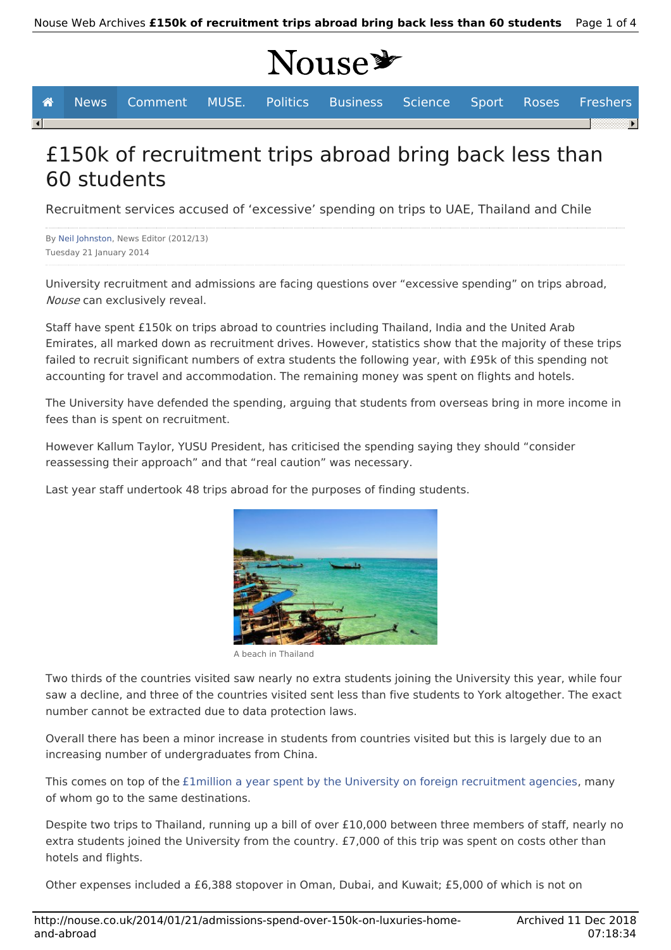# Nouse<sup>y</sup>

**A** News Comment MUSE. Politics Business Science Sport Roses Freshers

# £150k of recruitment trips abroad bring back less than 60 students

Recruitment services accused of 'excessive' spending on trips to UAE, Thailand and Chile

By Neil Johnston, News Editor (2012/13) Tuesday 21 January 2014

 $\overline{\mathbf{A}}$ 

University recruitment and admissions are facing questions over "excessive spending" on trips abroad, Nouse can exclusively reveal.

Staff have spent £150k on trips abroad to countries including Thailand, India and the United Arab Emirates, all marked down as recruitment drives. However, statistics show that the majority of these trips failed to recruit significant numbers of extra students the following year, with £95k of this spending not accounting for travel and accommodation. The remaining money was spent on flights and hotels.

The University have defended the spending, arguing that students from overseas bring in more income in fees than is spent on recruitment.

However Kallum Taylor, YUSU President, has criticised the spending saying they should "consider reassessing their approach" and that "real caution" was necessary.

Last year staff undertook 48 trips abroad for the purposes of finding students.



A beach in Thailand

Two thirds of the countries visited saw nearly no extra students joining the University this year, while four saw a decline, and three of the countries visited sent less than five students to York altogether. The exact number cannot be extracted due to data protection laws.

Overall there has been a minor increase in students from countries visited but this is largely due to an increasing number of undergraduates from China.

This comes on top of the £1million a year spent by the University on foreign recruitment agencies, many of whom go to the same destinations.

Despite two trips to Thailand, running up a bill of over £10,000 between three members of staff, nearly no extra students joined the University from the country. £7,000 of this trip was spent on costs other than hotels and flights.

Other expenses included a £6,388 stopover in Oman, Dubai, and Kuwait; £5,000 of which is not on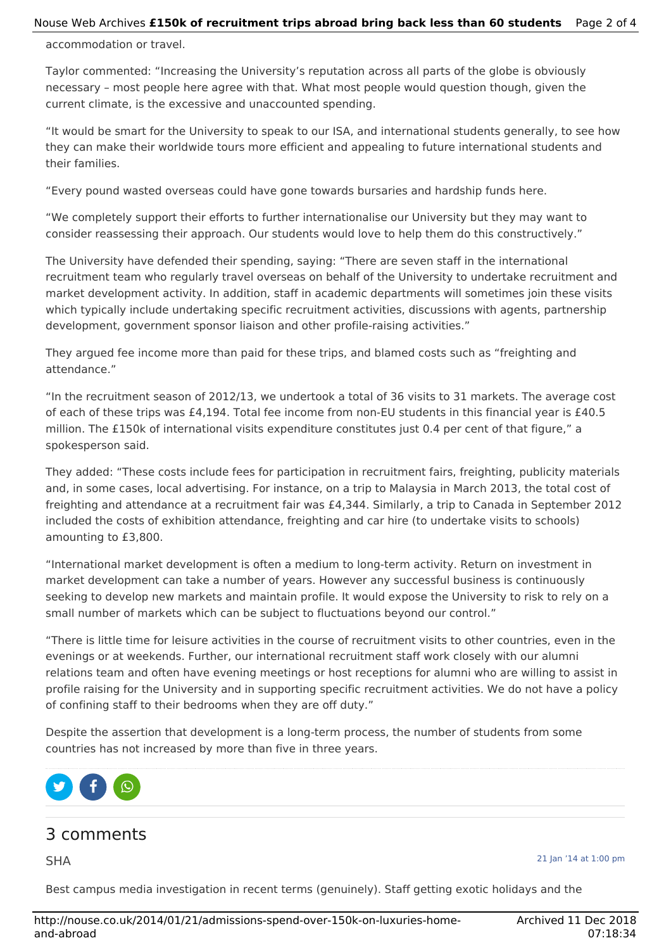#### Nouse Web Archives **£150k of recruitment trips abroad bring back less than 60 students** Page 2 of 4

accommodation or travel.

Taylor commented: "Increasing the University's reputation across all parts of the globe is obviously necessary – most people here agree with that. What most people would question though, given the current climate, is the excessive and unaccounted spending.

"It would be smart for the University to speak to our ISA, and international students generally, to see how they can make their worldwide tours more efficient and appealing to future international students and their families.

"Every pound wasted overseas could have gone towards bursaries and hardship funds here.

"We completely support their efforts to further internationalise our University but they may want to consider reassessing their approach. Our students would love to help them do this constructively."

The University have defended their spending, saying: "There are seven staff in the international recruitment team who regularly travel overseas on behalf of the University to undertake recruitment and market development activity. In addition, staff in academic departments will sometimes join these visits which typically include undertaking specific recruitment activities, discussions with agents, partnership development, government sponsor liaison and other profile-raising activities."

They argued fee income more than paid for these trips, and blamed costs such as "freighting and attendance."

"In the recruitment season of 2012/13, we undertook a total of 36 visits to 31 markets. The average cost of each of these trips was £4,194. Total fee income from non-EU students in this financial year is £40.5 million. The £150k of international visits expenditure constitutes just 0.4 per cent of that figure," a spokesperson said.

They added: "These costs include fees for participation in recruitment fairs, freighting, publicity materials and, in some cases, local advertising. For instance, on a trip to Malaysia in March 2013, the total cost of freighting and attendance at a recruitment fair was £4,344. Similarly, a trip to Canada in September 2012 included the costs of exhibition attendance, freighting and car hire (to undertake visits to schools) amounting to £3,800.

"International market development is often a medium to long-term activity. Return on investment in market development can take a number of years. However any successful business is continuously seeking to develop new markets and maintain profile. It would expose the University to risk to rely on a small number of markets which can be subject to fluctuations beyond our control."

"There is little time for leisure activities in the course of recruitment visits to other countries, even in the evenings or at weekends. Further, our international recruitment staff work closely with our alumni relations team and often have evening meetings or host receptions for alumni who are willing to assist in profile raising for the University and in supporting specific recruitment activities. We do not have a policy of confining staff to their bedrooms when they are off duty."

Despite the assertion that development is a long-term process, the number of students from some countries has not increased by more than five in three years.



# 3 comments

SHA

21 Jan '14 at 1:00 pm

Best campus media investigation in recent terms (genuinely). Staff getting exotic holidays and the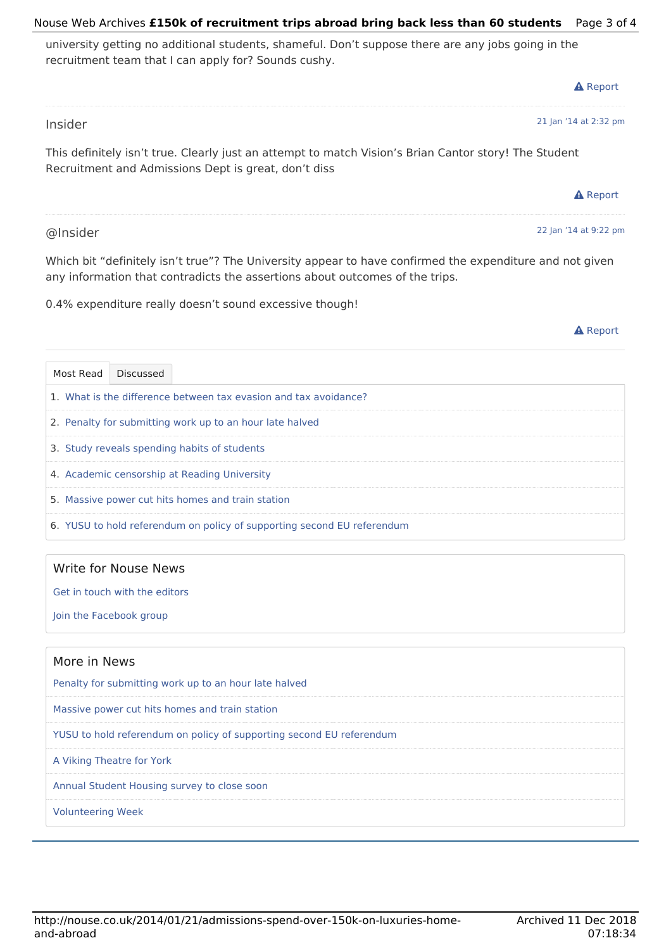#### http://nouse.co.uk/2014/01/21/admissions-spend-over-150k-on-luxuries-homeand-abroad

# Nouse Web Archives **£150k of recruitment trips abroad bring back less than 60 students** Page 3 of 4

university getting no additional students, shameful. Don't suppose there are any jobs going in the recruitment team that I can apply for? Sounds cushy.

|           |           |                                                                                                                                                               |  |  | <b>A</b> Report                                                                                          |
|-----------|-----------|---------------------------------------------------------------------------------------------------------------------------------------------------------------|--|--|----------------------------------------------------------------------------------------------------------|
| Insider   |           |                                                                                                                                                               |  |  | 21 Jan '14 at 2:32 pm                                                                                    |
|           |           | This definitely isn't true. Clearly just an attempt to match Vision's Brian Cantor story! The Student<br>Recruitment and Admissions Dept is great, don't diss |  |  |                                                                                                          |
|           |           |                                                                                                                                                               |  |  | <b>A</b> Report                                                                                          |
| @Insider  |           |                                                                                                                                                               |  |  | 22 Jan '14 at 9:22 pm                                                                                    |
|           |           | any information that contradicts the assertions about outcomes of the trips.                                                                                  |  |  | Which bit "definitely isn't true"? The University appear to have confirmed the expenditure and not given |
|           |           | 0.4% expenditure really doesn't sound excessive though!                                                                                                       |  |  |                                                                                                          |
|           |           |                                                                                                                                                               |  |  | <b>A</b> Report                                                                                          |
| Most Read | Discussed |                                                                                                                                                               |  |  |                                                                                                          |
|           |           | 1. What is the difference between tax evasion and tax avoidance?                                                                                              |  |  |                                                                                                          |
|           |           | 2. Penalty for submitting work up to an hour late halved                                                                                                      |  |  |                                                                                                          |
|           |           | 3. Study reveals spending habits of students                                                                                                                  |  |  |                                                                                                          |
|           |           |                                                                                                                                                               |  |  |                                                                                                          |
|           |           | 4. Academic censorship at Reading University                                                                                                                  |  |  |                                                                                                          |

6. YUSU to hold referendum on policy of supporting second EU referendum

## Write for Nouse News

Get in touch with the editors

Join the Facebook group

## More in News

Penalty for submitting work up to an hour late halved

Massive power cut hits homes and train station

YUSU to hold referendum on policy of supporting second EU referendum

A Viking Theatre for York

Annual Student Housing survey to close soon

Volunteering Week